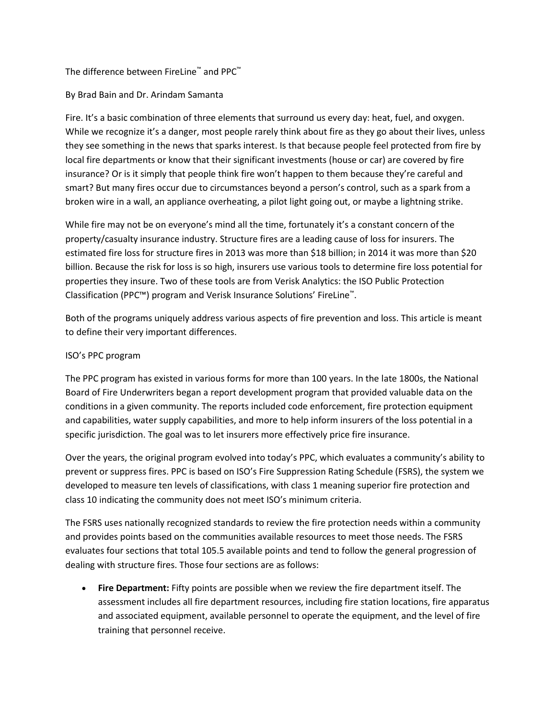## The difference between FireLine™ and PPC™

## By Brad Bain and Dr. Arindam Samanta

Fire. It's a basic combination of three elements that surround us every day: heat, fuel, and oxygen. While we recognize it's a danger, most people rarely think about fire as they go about their lives, unless they see something in the news that sparks interest. Is that because people feel protected from fire by local fire departments or know that their significant investments (house or car) are covered by fire insurance? Or is it simply that people think fire won't happen to them because they're careful and smart? But many fires occur due to circumstances beyond a person's control, such as a spark from a broken wire in a wall, an appliance overheating, a pilot light going out, or maybe a lightning strike.

While fire may not be on everyone's mind all the time, fortunately it's a constant concern of the property/casualty insurance industry. Structure fires are a leading cause of loss for insurers. The estimated fire loss for structure fires in 2013 was more than \$18 billion; in 2014 it was more than \$20 billion. Because the risk for loss is so high, insurers use various tools to determine fire loss potential for properties they insure. Two of these tools are from Verisk Analytics: the ISO Public Protection Classification (PPC™) program and Verisk Insurance Solutions' FireLine™ .

Both of the programs uniquely address various aspects of fire prevention and loss. This article is meant to define their very important differences.

## ISO's PPC program

The PPC program has existed in various forms for more than 100 years. In the late 1800s, the National Board of Fire Underwriters began a report development program that provided valuable data on the conditions in a given community. The reports included code enforcement, fire protection equipment and capabilities, water supply capabilities, and more to help inform insurers of the loss potential in a specific jurisdiction. The goal was to let insurers more effectively price fire insurance.

Over the years, the original program evolved into today's PPC, which evaluates a community's ability to prevent or suppress fires. PPC is based on ISO's Fire Suppression Rating Schedule (FSRS), the system we developed to measure ten levels of classifications, with class 1 meaning superior fire protection and class 10 indicating the community does not meet ISO's minimum criteria.

The FSRS uses nationally recognized standards to review the fire protection needs within a community and provides points based on the communities available resources to meet those needs. The FSRS evaluates four sections that total 105.5 available points and tend to follow the general progression of dealing with structure fires. Those four sections are as follows:

 **Fire Department:** Fifty points are possible when we review the fire department itself. The assessment includes all fire department resources, including fire station locations, fire apparatus and associated equipment, available personnel to operate the equipment, and the level of fire training that personnel receive.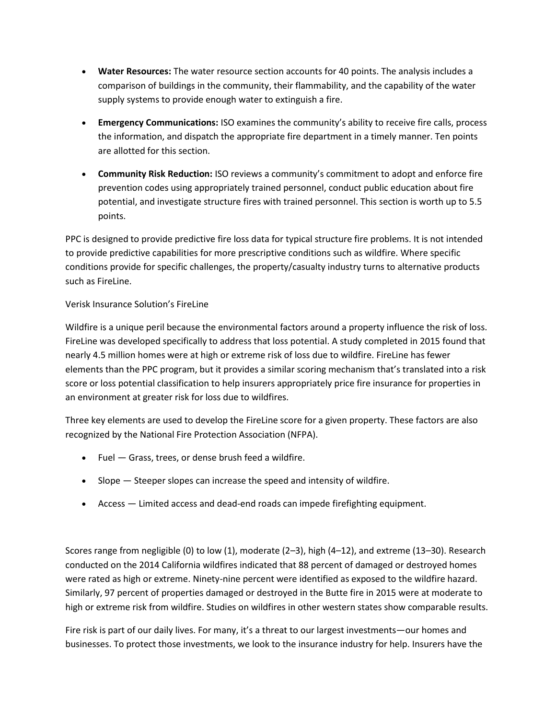- **Water Resources:** The water resource section accounts for 40 points. The analysis includes a comparison of buildings in the community, their flammability, and the capability of the water supply systems to provide enough water to extinguish a fire.
- **Emergency Communications:** ISO examines the community's ability to receive fire calls, process the information, and dispatch the appropriate fire department in a timely manner. Ten points are allotted for this section.
- **Community Risk Reduction:** ISO reviews a community's commitment to adopt and enforce fire prevention codes using appropriately trained personnel, conduct public education about fire potential, and investigate structure fires with trained personnel. This section is worth up to 5.5 points.

PPC is designed to provide predictive fire loss data for typical structure fire problems. It is not intended to provide predictive capabilities for more prescriptive conditions such as wildfire. Where specific conditions provide for specific challenges, the property/casualty industry turns to alternative products such as FireLine.

## Verisk Insurance Solution's FireLine

Wildfire is a unique peril because the environmental factors around a property influence the risk of loss. FireLine was developed specifically to address that loss potential. A study completed in 2015 found that nearly 4.5 million homes were at high or extreme risk of loss due to wildfire. FireLine has fewer elements than the PPC program, but it provides a similar scoring mechanism that's translated into a risk score or loss potential classification to help insurers appropriately price fire insurance for properties in an environment at greater risk for loss due to wildfires.

Three key elements are used to develop the FireLine score for a given property. These factors are also recognized by the National Fire Protection Association (NFPA).

- Fuel Grass, trees, or dense brush feed a wildfire.
- $\bullet$  Slope  $-$  Steeper slopes can increase the speed and intensity of wildfire.
- Access Limited access and dead-end roads can impede firefighting equipment.

Scores range from negligible (0) to low (1), moderate (2–3), high (4–12), and extreme (13–30). Research conducted on the 2014 California wildfires indicated that 88 percent of damaged or destroyed homes were rated as high or extreme. Ninety-nine percent were identified as exposed to the wildfire hazard. Similarly, 97 percent of properties damaged or destroyed in the Butte fire in 2015 were at moderate to high or extreme risk from wildfire. Studies on wildfires in other western states show comparable results.

Fire risk is part of our daily lives. For many, it's a threat to our largest investments—our homes and businesses. To protect those investments, we look to the insurance industry for help. Insurers have the